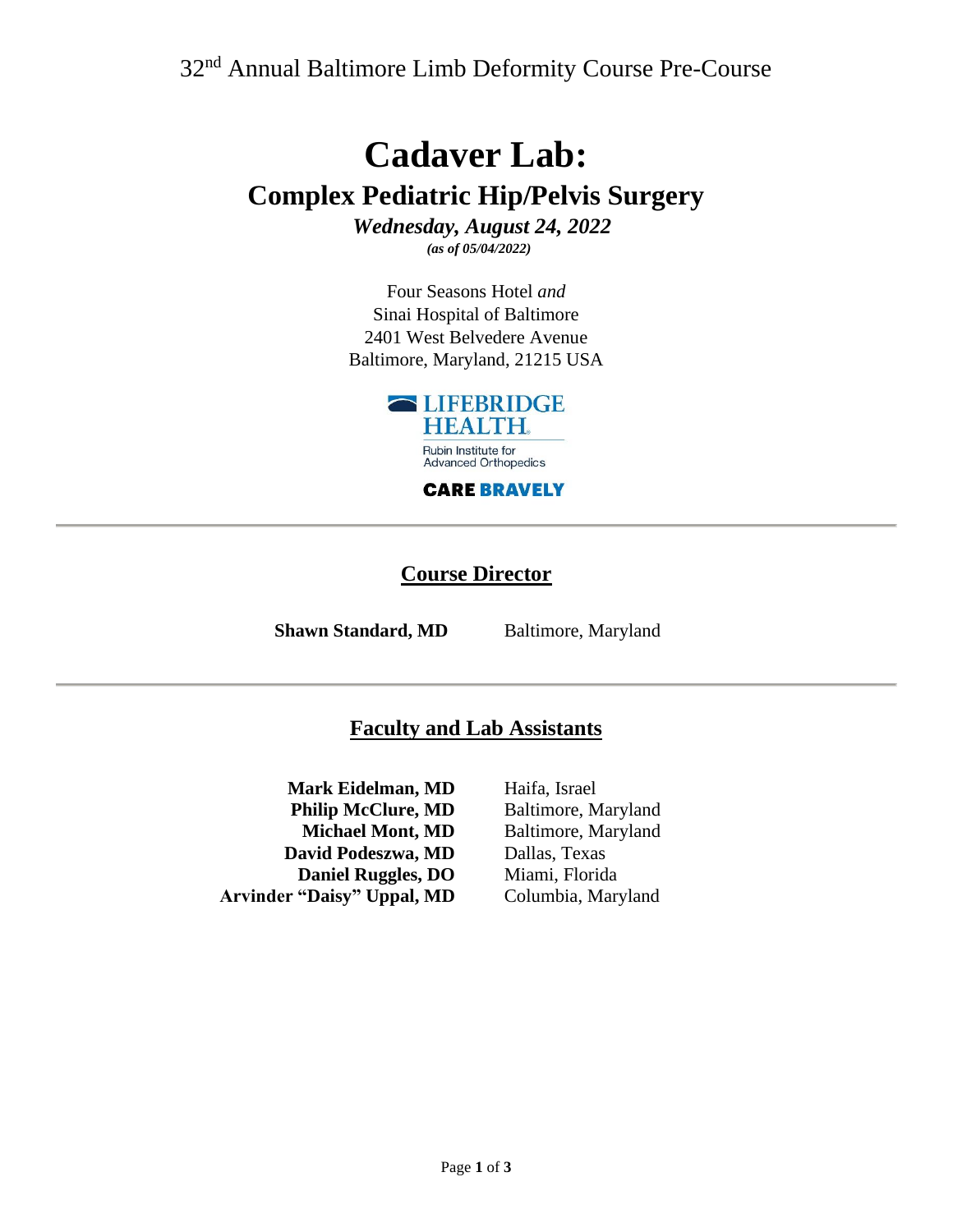32nd Annual Baltimore Limb Deformity Course Pre-Course

# **Cadaver Lab: Complex Pediatric Hip/Pelvis Surgery**

*Wednesday, August 24, 2022 (as of 05/04/2022)*

Four Seasons Hotel *and* Sinai Hospital of Baltimore 2401 West Belvedere Avenue Baltimore, Maryland, 21215 USA



**CARE BRAVELY** 

#### **Course Director**

**Shawn Standard, MD** Baltimore, Maryland

### **Faculty and Lab Assistants**

**Mark Eidelman, MD Philip McClure, MD Michael Mont, MD David Podeszwa, MD Daniel Ruggles, DO Arvinder "Daisy" Uppal, MD**

Haifa, Israel Baltimore, Maryland Baltimore, Maryland Dallas, Texas Miami, Florida Columbia, Maryland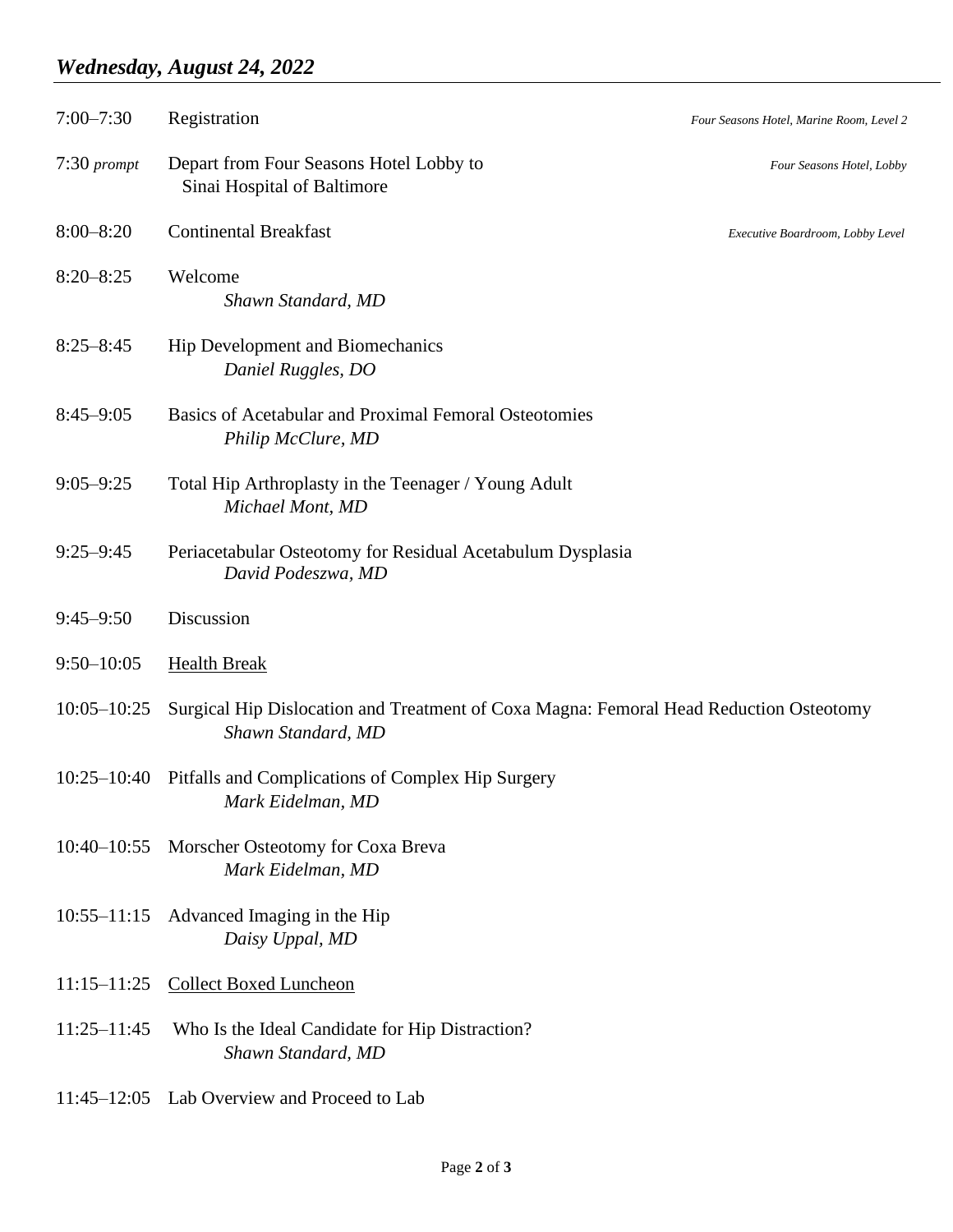## *Wednesday, August 24, 2022*

| $7:00 - 7:30$   | Registration                                                                                                 | Four Seasons Hotel, Marine Room, Level 2 |
|-----------------|--------------------------------------------------------------------------------------------------------------|------------------------------------------|
| $7:30$ prompt   | Depart from Four Seasons Hotel Lobby to<br>Sinai Hospital of Baltimore                                       | Four Seasons Hotel, Lobby                |
| $8:00 - 8:20$   | <b>Continental Breakfast</b>                                                                                 | Executive Boardroom, Lobby Level         |
| $8:20 - 8:25$   | Welcome<br>Shawn Standard, MD                                                                                |                                          |
| $8:25 - 8:45$   | Hip Development and Biomechanics<br>Daniel Ruggles, DO                                                       |                                          |
| $8:45 - 9:05$   | Basics of Acetabular and Proximal Femoral Osteotomies<br>Philip McClure, MD                                  |                                          |
| $9:05 - 9:25$   | Total Hip Arthroplasty in the Teenager / Young Adult<br>Michael Mont, MD                                     |                                          |
| $9:25 - 9:45$   | Periacetabular Osteotomy for Residual Acetabulum Dysplasia<br>David Podeszwa, MD                             |                                          |
| $9:45 - 9:50$   | Discussion                                                                                                   |                                          |
| $9:50 - 10:05$  | <b>Health Break</b>                                                                                          |                                          |
| $10:05 - 10:25$ | Surgical Hip Dislocation and Treatment of Coxa Magna: Femoral Head Reduction Osteotomy<br>Shawn Standard, MD |                                          |
| $10:25 - 10:40$ | Pitfalls and Complications of Complex Hip Surgery<br>Mark Eidelman, MD                                       |                                          |
| $10:40 - 10:55$ | Morscher Osteotomy for Coxa Breva<br>Mark Eidelman, MD                                                       |                                          |
| $10:55 - 11:15$ | Advanced Imaging in the Hip<br>Daisy Uppal, MD                                                               |                                          |
| $11:15 - 11:25$ | <b>Collect Boxed Luncheon</b>                                                                                |                                          |
| $11:25 - 11:45$ | Who Is the Ideal Candidate for Hip Distraction?<br>Shawn Standard, MD                                        |                                          |
|                 | 11:45–12:05 Lab Overview and Proceed to Lab                                                                  |                                          |